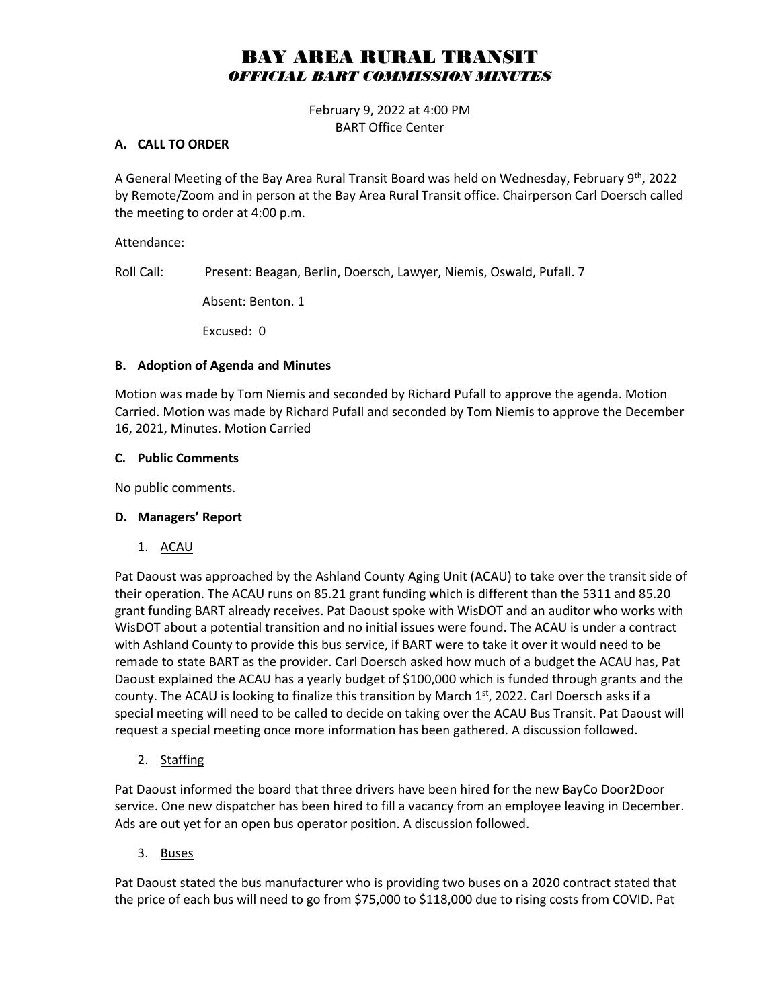# BAY AREA RURAL TRANSIT *OFFICIAL BART COMMISSION MINUTES*

February 9, 2022 at 4:00 PM BART Office Center

#### **A. CALL TO ORDER**

A General Meeting of the Bay Area Rural Transit Board was held on Wednesday, February 9<sup>th</sup>, 2022 by Remote/Zoom and in person at the Bay Area Rural Transit office. Chairperson Carl Doersch called the meeting to order at 4:00 p.m.

Attendance:

Roll Call: Present: Beagan, Berlin, Doersch, Lawyer, Niemis, Oswald, Pufall. 7

Absent: Benton. 1

Excused: 0

#### **B. Adoption of Agenda and Minutes**

Motion was made by Tom Niemis and seconded by Richard Pufall to approve the agenda. Motion Carried. Motion was made by Richard Pufall and seconded by Tom Niemis to approve the December 16, 2021, Minutes. Motion Carried

#### **C. Public Comments**

No public comments.

## **D. Managers' Report**

1. ACAU

Pat Daoust was approached by the Ashland County Aging Unit (ACAU) to take over the transit side of their operation. The ACAU runs on 85.21 grant funding which is different than the 5311 and 85.20 grant funding BART already receives. Pat Daoust spoke with WisDOT and an auditor who works with WisDOT about a potential transition and no initial issues were found. The ACAU is under a contract with Ashland County to provide this bus service, if BART were to take it over it would need to be remade to state BART as the provider. Carl Doersch asked how much of a budget the ACAU has, Pat Daoust explained the ACAU has a yearly budget of \$100,000 which is funded through grants and the county. The ACAU is looking to finalize this transition by March  $1<sup>st</sup>$ , 2022. Carl Doersch asks if a special meeting will need to be called to decide on taking over the ACAU Bus Transit. Pat Daoust will request a special meeting once more information has been gathered. A discussion followed.

2. Staffing

Pat Daoust informed the board that three drivers have been hired for the new BayCo Door2Door service. One new dispatcher has been hired to fill a vacancy from an employee leaving in December. Ads are out yet for an open bus operator position. A discussion followed.

3. Buses

Pat Daoust stated the bus manufacturer who is providing two buses on a 2020 contract stated that the price of each bus will need to go from \$75,000 to \$118,000 due to rising costs from COVID. Pat